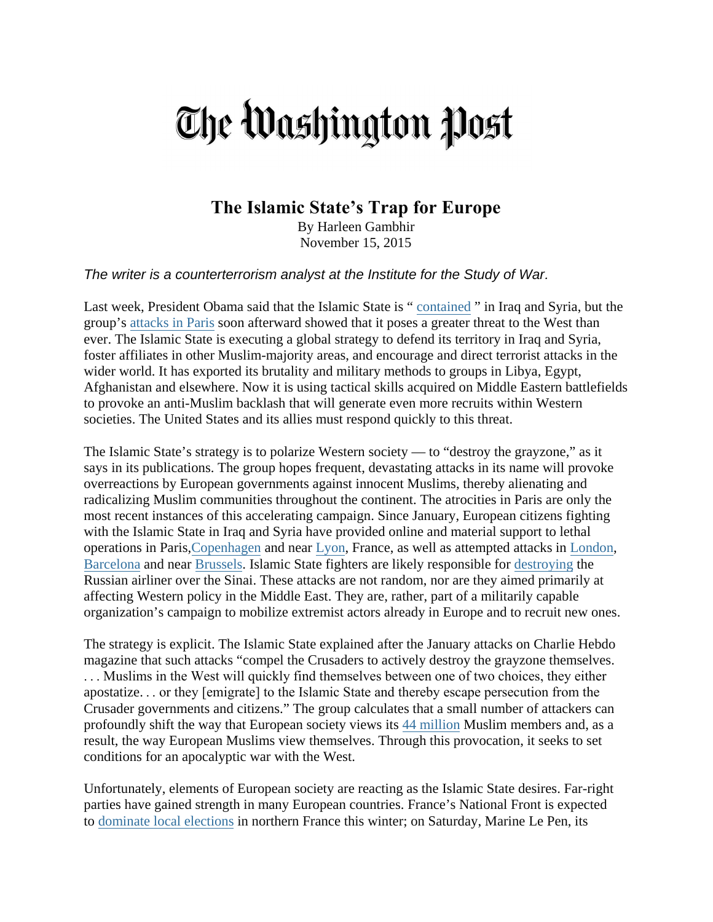## The Washington Post

## **The Islamic State's Trap for Europe**

By Harleen Gambhir November 15, 2015

*The writer is a counterterrorism analyst at the Institute for the Study of War.*

Last week, President Obama said that the Islamic State is " [contained](https://www.washingtonpost.com/news/post-politics/wp/2015/11/15/obama-denies-islamic-state-is-gaining-strength-in-iraq/) " in Iraq and Syria, but the group's attacks [in Paris](https://www.washingtonpost.com/blogs/worldviews-live/liveblog/live-updates-attacks-in-paris/) soon afterward showed that it poses a greater threat to the West than ever. The Islamic State is executing a global strategy to defend its territory in Iraq and Syria, foster affiliates in other Muslim-majority areas, and encourage and direct terrorist attacks in the wider world. It has exported its brutality and military methods to groups in Libya, Egypt, Afghanistan and elsewhere. Now it is using tactical skills acquired on Middle Eastern battlefields to provoke an anti-Muslim backlash that will generate even more recruits within Western societies. The United States and its allies must respond quickly to this threat.

The Islamic State's strategy is to polarize Western society — to "destroy the grayzone," as it says in its publications. The group hopes frequent, devastating attacks in its name will provoke overreactions by European governments against innocent Muslims, thereby alienating and radicalizing Muslim communities throughout the continent. The atrocities in Paris are only the most recent instances of this accelerating campaign. Since January, European citizens fighting with the Islamic State in Iraq and Syria have provided online and material support to lethal operations in Paris[,Copenhagen](https://www.washingtonpost.com/world/asia_pacific/police-1-dead-in-shooting-at-copenhagen-free-speech-event/2015/02/14/805975c6-b472-11e4-854b-a38d13486ba1_story.html) and near [Lyon,](https://www.washingtonpost.com/world/europe/explosions-hit-french-factory-terrorist-probe-opened/2015/06/26/442b08da-1be7-11e5-93b7-5eddc056ad8a_story.html) France, as well as attempted attacks in [London,](http://www.mirror.co.uk/news/uk-news/isis-planned-suicide-attack-armed-5957621) [Barcelona](http://www.tabletmag.com/scroll/190754/attack-on-jewish-bookstore-in-barcelona-thwarted) and near [Brussels.](http://bigstory.ap.org/article/16b6f04d80d74a638fe9901a324dced7/reports-car-tries-crash-gate-belgian-barracks) Islamic State fighters are likely responsible for [destroying](https://www.washingtonpost.com/world/russian-airliner-crashes-in-egypts-sinai-peninsula/2015/10/31/feff65e0-7fa9-11e5-beba-927fd8634498_story.html) the Russian airliner over the Sinai. These attacks are not random, nor are they aimed primarily at affecting Western policy in the Middle East. They are, rather, part of a militarily capable organization's campaign to mobilize extremist actors already in Europe and to recruit new ones.

The strategy is explicit. The Islamic State explained after the January attacks on Charlie Hebdo magazine that such attacks "compel the Crusaders to actively destroy the grayzone themselves. . . . Muslims in the West will quickly find themselves between one of two choices, they either apostatize. . . or they [emigrate] to the Islamic State and thereby escape persecution from the Crusader governments and citizens." The group calculates that a small number of attackers can profoundly shift the way that European society views its 44 [million](http://www.pewforum.org/2011/01/27/future-of-the-global-muslim-population-regional-europe/) Muslim members and, as a result, the way European Muslims view themselves. Through this provocation, it seeks to set conditions for an apocalyptic war with the West.

Unfortunately, elements of European society are reacting as the Islamic State desires. Far-right parties have gained strength in many European countries. France's National Front is expected to dominate [local elections](http://www.reuters.com/article/2015/09/20/us-france-lepen-poll-idUSKCN0RK0HL20150920) in northern France this winter; on Saturday, Marine Le Pen, its